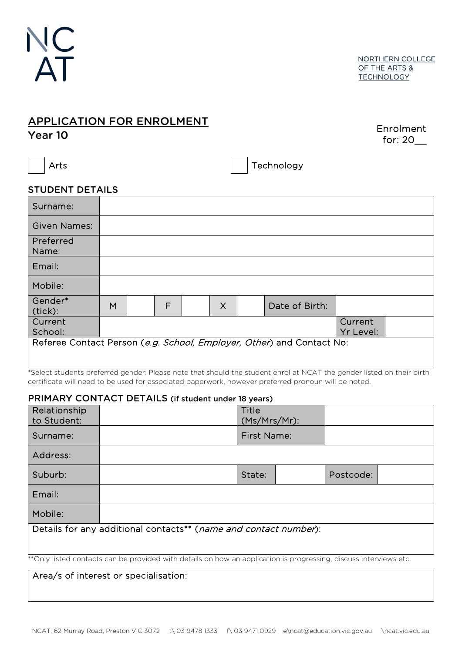

## APPLICATION FOR ENROLMENT

Year 10

Enrolment for: 20\_\_

Arts and the contract of the contract of the Technology

## STUDENT DETAILS

| Surname:                                                              |   |  |   |  |          |  |                |                      |  |
|-----------------------------------------------------------------------|---|--|---|--|----------|--|----------------|----------------------|--|
| <b>Given Names:</b>                                                   |   |  |   |  |          |  |                |                      |  |
| Preferred<br>Name:                                                    |   |  |   |  |          |  |                |                      |  |
| Email:                                                                |   |  |   |  |          |  |                |                      |  |
| Mobile:                                                               |   |  |   |  |          |  |                |                      |  |
| Gender*<br>(tick):                                                    | M |  | F |  | $\times$ |  | Date of Birth: |                      |  |
| Current<br>School:                                                    |   |  |   |  |          |  |                | Current<br>Yr Level: |  |
| Referee Contact Person (e.g. School, Employer, Other) and Contact No: |   |  |   |  |          |  |                |                      |  |

\*Select students preferred gender. Please note that should the student enrol at NCAT the gender listed on their birth certificate will need to be used for associated paperwork, however preferred pronoun will be noted.

## PRIMARY CONTACT DETAILS (if student under 18 years)

| Relationship<br>to Student:                                                                                        |  | Title<br>(Ms/Mrs/Mr): |  |           |  |  |  |  |
|--------------------------------------------------------------------------------------------------------------------|--|-----------------------|--|-----------|--|--|--|--|
| Surname:                                                                                                           |  | <b>First Name:</b>    |  |           |  |  |  |  |
| Address:                                                                                                           |  |                       |  |           |  |  |  |  |
| Suburb:                                                                                                            |  | State:                |  | Postcode: |  |  |  |  |
| Email:                                                                                                             |  |                       |  |           |  |  |  |  |
| Mobile:                                                                                                            |  |                       |  |           |  |  |  |  |
| Details for any additional contacts <sup>**</sup> ( <i>name and contact number</i> ):                              |  |                       |  |           |  |  |  |  |
| ** Only listed contacts can be provided with details on how an application is progressing, discuss interviews etc. |  |                       |  |           |  |  |  |  |

Area/s of interest or specialisation: